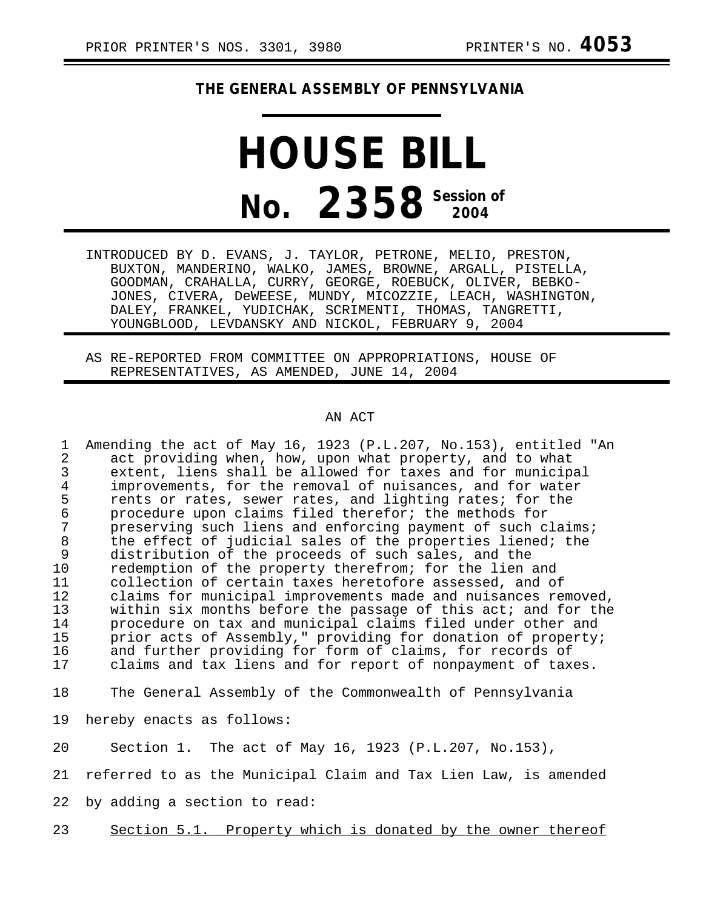## **THE GENERAL ASSEMBLY OF PENNSYLVANIA**

## **HOUSE BILL No.** 2358<sup> Session of</sup>

INTRODUCED BY D. EVANS, J. TAYLOR, PETRONE, MELIO, PRESTON, BUXTON, MANDERINO, WALKO, JAMES, BROWNE, ARGALL, PISTELLA, GOODMAN, CRAHALLA, CURRY, GEORGE, ROEBUCK, OLIVER, BEBKO-JONES, CIVERA, DeWEESE, MUNDY, MICOZZIE, LEACH, WASHINGTON, DALEY, FRANKEL, YUDICHAK, SCRIMENTI, THOMAS, TANGRETTI, YOUNGBLOOD, LEVDANSKY AND NICKOL, FEBRUARY 9, 2004

AS RE-REPORTED FROM COMMITTEE ON APPROPRIATIONS, HOUSE OF REPRESENTATIVES, AS AMENDED, JUNE 14, 2004

## AN ACT

1 Amending the act of May 16, 1923 (P.L.207, No.153), entitled "An<br>2 act providing when, how, upon what property, and to what 2 act providing when, how, upon what property, and to what<br>3 extent, liens shall be allowed for taxes and for municip 3 extent, liens shall be allowed for taxes and for municipal<br>4 improvements, for the removal of nuisances, and for water 4 improvements, for the removal of nuisances, and for water<br>5 rents or rates, sewer rates, and lighting rates; for the 5 rents or rates, sewer rates, and lighting rates; for the<br>6 orocedure upon claims filed therefor; the methods for 6 procedure upon claims filed therefor; the methods for 7 preserving such liens and enforcing payment of such claims;<br>8 the effect of judicial sales of the properties liened; the 8 the effect of judicial sales of the properties liened; the<br>9 distribution of the proceeds of such sales, and the distribution of the proceeds of such sales, and the 10 redemption of the property therefrom; for the lien and<br>11 collection of certain taxes heretofore assessed, and ob collection of certain taxes heretofore assessed, and of 12 claims for municipal improvements made and nuisances removed,<br>13 vithin six months before the passage of this act; and for the 13 within six months before the passage of this act; and for the<br>14 sprocedure on tax and municipal claims filed under other and 14 procedure on tax and municipal claims filed under other and<br>15 prior acts of Assembly," providing for donation of property 15 prior acts of Assembly," providing for donation of property;<br>16 and further providing for form of claims, for records of 16 and further providing for form of claims, for records of<br>17 alaims and tax liens and for report of nonpayment of tax claims and tax liens and for report of nonpayment of taxes.

18 The General Assembly of the Commonwealth of Pennsylvania

19 hereby enacts as follows:

20 Section 1. The act of May 16, 1923 (P.L.207, No.153),

21 referred to as the Municipal Claim and Tax Lien Law, is amended

22 by adding a section to read:

23 Section 5.1. Property which is donated by the owner thereof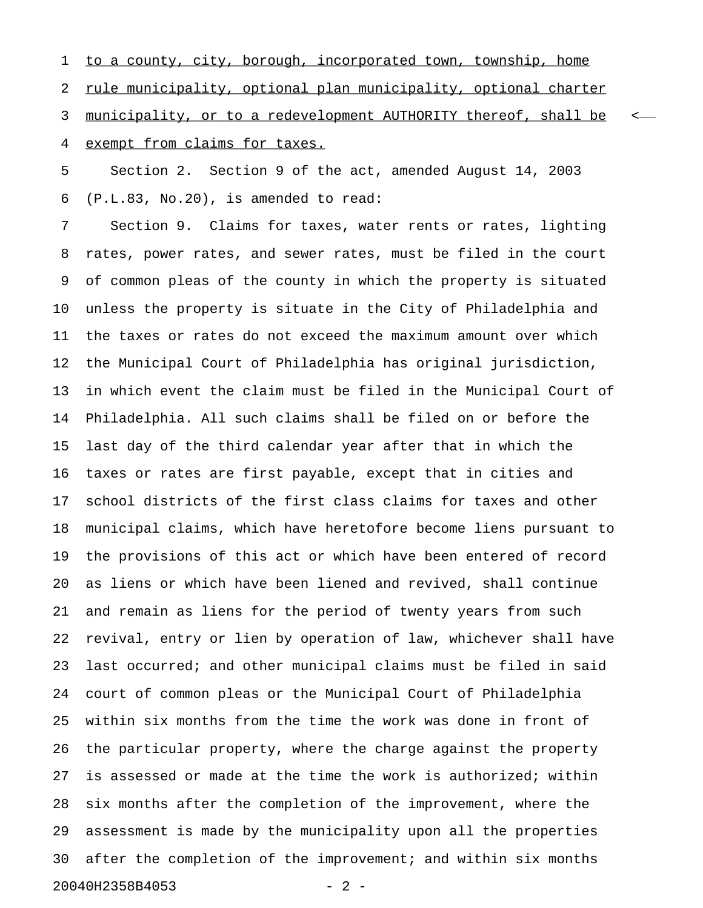1 to a county, city, borough, incorporated town, township, home 2 rule municipality, optional plan municipality, optional charter 3 municipality, or to a redevelopment AUTHORITY thereof, shall be  $\leftarrow$ 4 exempt from claims for taxes.

5 Section 2. Section 9 of the act, amended August 14, 2003 6 (P.L.83, No.20), is amended to read:

7 Section 9. Claims for taxes, water rents or rates, lighting 8 rates, power rates, and sewer rates, must be filed in the court 9 of common pleas of the county in which the property is situated 10 unless the property is situate in the City of Philadelphia and 11 the taxes or rates do not exceed the maximum amount over which 12 the Municipal Court of Philadelphia has original jurisdiction, 13 in which event the claim must be filed in the Municipal Court of 14 Philadelphia. All such claims shall be filed on or before the 15 last day of the third calendar year after that in which the 16 taxes or rates are first payable, except that in cities and 17 school districts of the first class claims for taxes and other 18 municipal claims, which have heretofore become liens pursuant to 19 the provisions of this act or which have been entered of record 20 as liens or which have been liened and revived, shall continue 21 and remain as liens for the period of twenty years from such 22 revival, entry or lien by operation of law, whichever shall have 23 last occurred; and other municipal claims must be filed in said 24 court of common pleas or the Municipal Court of Philadelphia 25 within six months from the time the work was done in front of 26 the particular property, where the charge against the property 27 is assessed or made at the time the work is authorized; within 28 six months after the completion of the improvement, where the 29 assessment is made by the municipality upon all the properties 30 after the completion of the improvement; and within six months 20040H2358B4053 - 2 -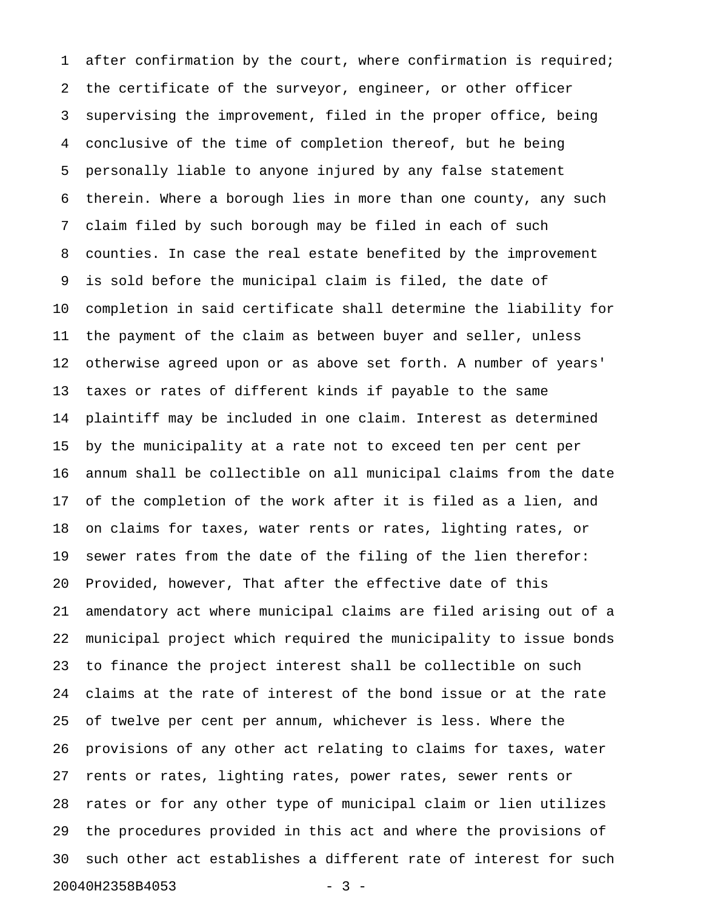1 after confirmation by the court, where confirmation is required; 2 the certificate of the surveyor, engineer, or other officer 3 supervising the improvement, filed in the proper office, being 4 conclusive of the time of completion thereof, but he being 5 personally liable to anyone injured by any false statement 6 therein. Where a borough lies in more than one county, any such 7 claim filed by such borough may be filed in each of such 8 counties. In case the real estate benefited by the improvement 9 is sold before the municipal claim is filed, the date of 10 completion in said certificate shall determine the liability for 11 the payment of the claim as between buyer and seller, unless 12 otherwise agreed upon or as above set forth. A number of years' 13 taxes or rates of different kinds if payable to the same 14 plaintiff may be included in one claim. Interest as determined 15 by the municipality at a rate not to exceed ten per cent per 16 annum shall be collectible on all municipal claims from the date 17 of the completion of the work after it is filed as a lien, and 18 on claims for taxes, water rents or rates, lighting rates, or 19 sewer rates from the date of the filing of the lien therefor: 20 Provided, however, That after the effective date of this 21 amendatory act where municipal claims are filed arising out of a 22 municipal project which required the municipality to issue bonds 23 to finance the project interest shall be collectible on such 24 claims at the rate of interest of the bond issue or at the rate 25 of twelve per cent per annum, whichever is less. Where the 26 provisions of any other act relating to claims for taxes, water 27 rents or rates, lighting rates, power rates, sewer rents or 28 rates or for any other type of municipal claim or lien utilizes 29 the procedures provided in this act and where the provisions of 30 such other act establishes a different rate of interest for such 20040H2358B4053 - 3 -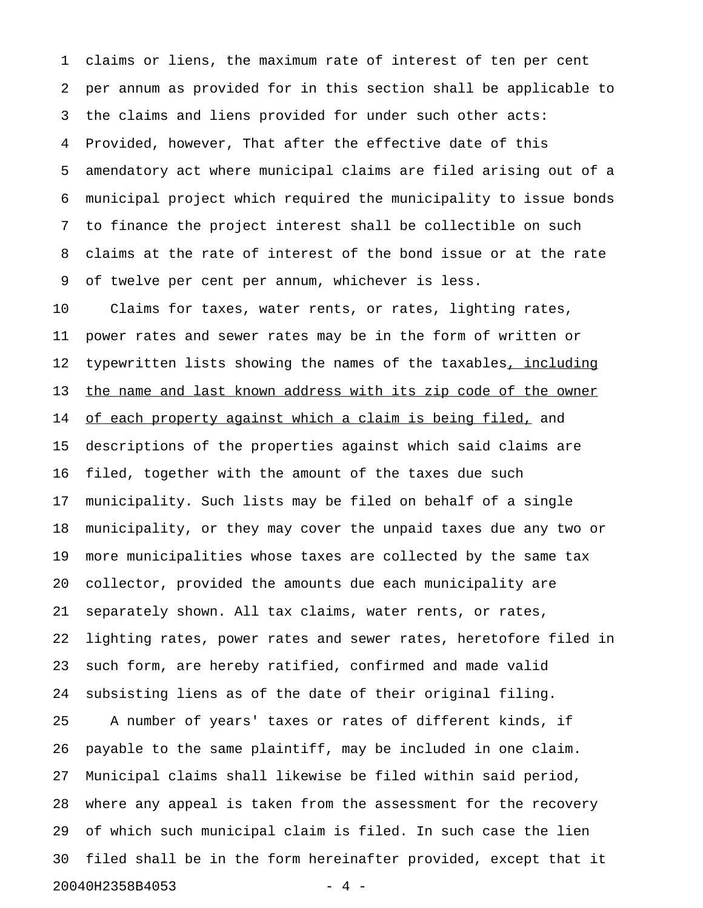1 claims or liens, the maximum rate of interest of ten per cent 2 per annum as provided for in this section shall be applicable to 3 the claims and liens provided for under such other acts: 4 Provided, however, That after the effective date of this 5 amendatory act where municipal claims are filed arising out of a 6 municipal project which required the municipality to issue bonds 7 to finance the project interest shall be collectible on such 8 claims at the rate of interest of the bond issue or at the rate 9 of twelve per cent per annum, whichever is less.

10 Claims for taxes, water rents, or rates, lighting rates, 11 power rates and sewer rates may be in the form of written or 12 typewritten lists showing the names of the taxables, including 13 the name and last known address with its zip code of the owner 14 of each property against which a claim is being filed, and 15 descriptions of the properties against which said claims are 16 filed, together with the amount of the taxes due such 17 municipality. Such lists may be filed on behalf of a single 18 municipality, or they may cover the unpaid taxes due any two or 19 more municipalities whose taxes are collected by the same tax 20 collector, provided the amounts due each municipality are 21 separately shown. All tax claims, water rents, or rates, 22 lighting rates, power rates and sewer rates, heretofore filed in 23 such form, are hereby ratified, confirmed and made valid 24 subsisting liens as of the date of their original filing. 25 A number of years' taxes or rates of different kinds, if 26 payable to the same plaintiff, may be included in one claim. 27 Municipal claims shall likewise be filed within said period, 28 where any appeal is taken from the assessment for the recovery 29 of which such municipal claim is filed. In such case the lien 30 filed shall be in the form hereinafter provided, except that it 20040H2358B4053 - 4 -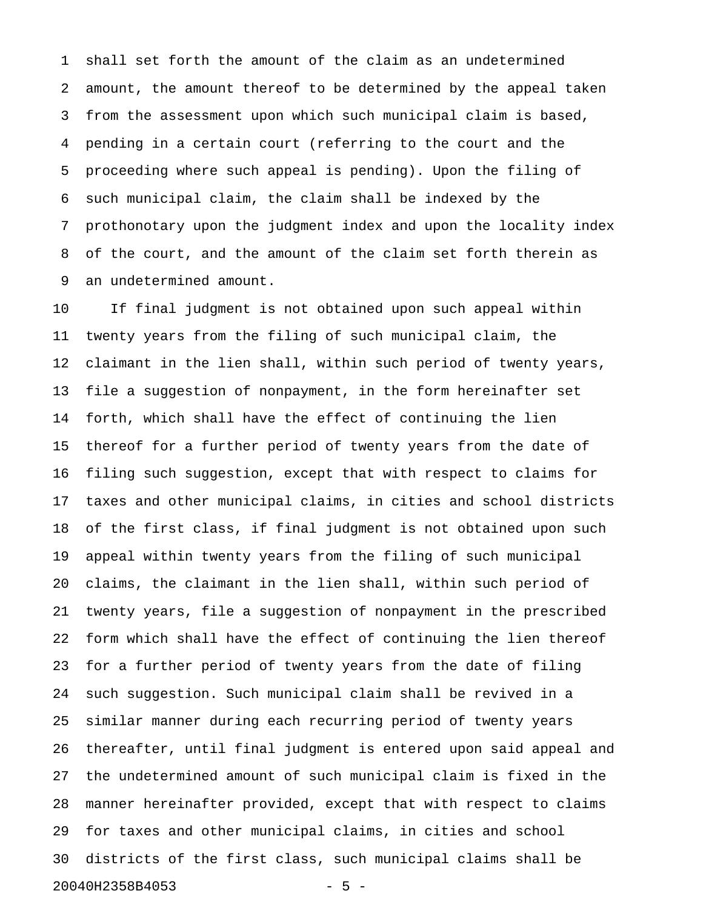1 shall set forth the amount of the claim as an undetermined 2 amount, the amount thereof to be determined by the appeal taken 3 from the assessment upon which such municipal claim is based, 4 pending in a certain court (referring to the court and the 5 proceeding where such appeal is pending). Upon the filing of 6 such municipal claim, the claim shall be indexed by the 7 prothonotary upon the judgment index and upon the locality index 8 of the court, and the amount of the claim set forth therein as 9 an undetermined amount.

10 If final judgment is not obtained upon such appeal within 11 twenty years from the filing of such municipal claim, the 12 claimant in the lien shall, within such period of twenty years, 13 file a suggestion of nonpayment, in the form hereinafter set 14 forth, which shall have the effect of continuing the lien 15 thereof for a further period of twenty years from the date of 16 filing such suggestion, except that with respect to claims for 17 taxes and other municipal claims, in cities and school districts 18 of the first class, if final judgment is not obtained upon such 19 appeal within twenty years from the filing of such municipal 20 claims, the claimant in the lien shall, within such period of 21 twenty years, file a suggestion of nonpayment in the prescribed 22 form which shall have the effect of continuing the lien thereof 23 for a further period of twenty years from the date of filing 24 such suggestion. Such municipal claim shall be revived in a 25 similar manner during each recurring period of twenty years 26 thereafter, until final judgment is entered upon said appeal and 27 the undetermined amount of such municipal claim is fixed in the 28 manner hereinafter provided, except that with respect to claims 29 for taxes and other municipal claims, in cities and school 30 districts of the first class, such municipal claims shall be 20040H2358B4053 - 5 -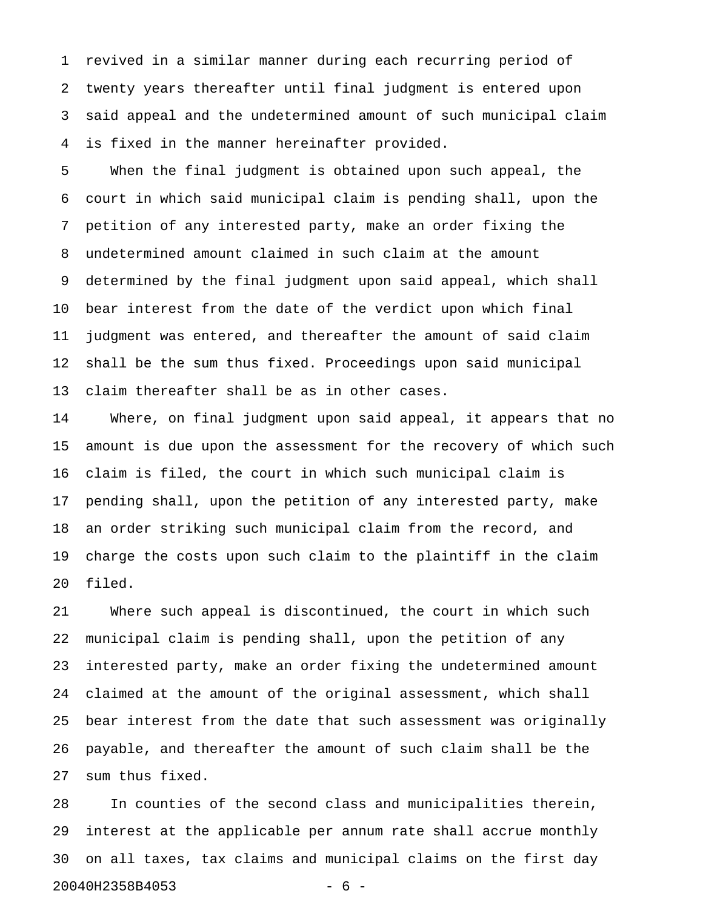1 revived in a similar manner during each recurring period of 2 twenty years thereafter until final judgment is entered upon 3 said appeal and the undetermined amount of such municipal claim 4 is fixed in the manner hereinafter provided.

5 When the final judgment is obtained upon such appeal, the 6 court in which said municipal claim is pending shall, upon the 7 petition of any interested party, make an order fixing the 8 undetermined amount claimed in such claim at the amount 9 determined by the final judgment upon said appeal, which shall 10 bear interest from the date of the verdict upon which final 11 judgment was entered, and thereafter the amount of said claim 12 shall be the sum thus fixed. Proceedings upon said municipal 13 claim thereafter shall be as in other cases.

14 Where, on final judgment upon said appeal, it appears that no 15 amount is due upon the assessment for the recovery of which such 16 claim is filed, the court in which such municipal claim is 17 pending shall, upon the petition of any interested party, make 18 an order striking such municipal claim from the record, and 19 charge the costs upon such claim to the plaintiff in the claim 20 filed.

21 Where such appeal is discontinued, the court in which such 22 municipal claim is pending shall, upon the petition of any 23 interested party, make an order fixing the undetermined amount 24 claimed at the amount of the original assessment, which shall 25 bear interest from the date that such assessment was originally 26 payable, and thereafter the amount of such claim shall be the 27 sum thus fixed.

28 In counties of the second class and municipalities therein, 29 interest at the applicable per annum rate shall accrue monthly 30 on all taxes, tax claims and municipal claims on the first day 20040H2358B4053 - 6 -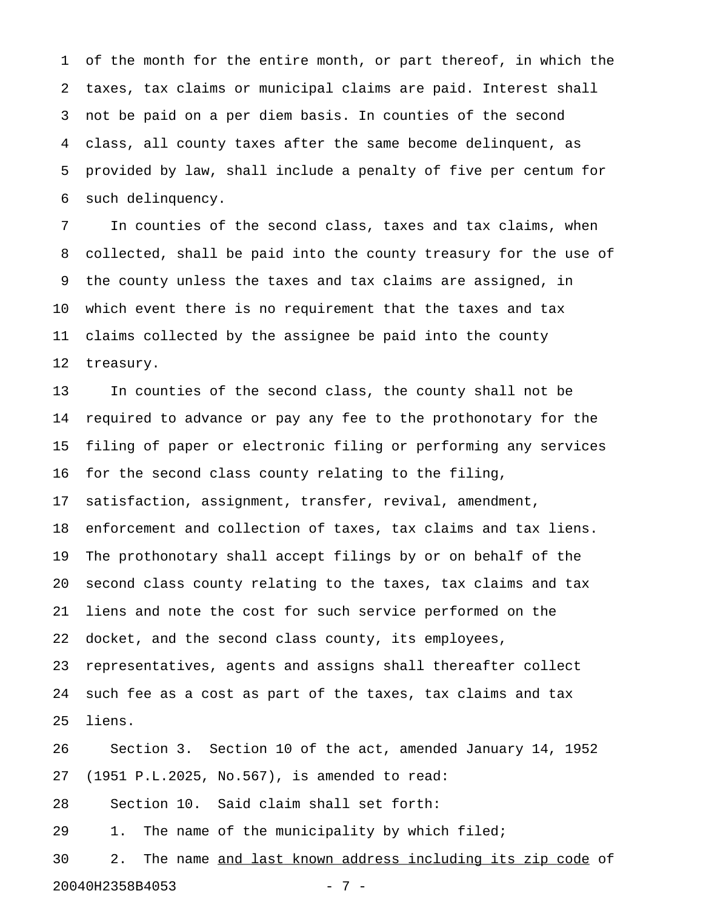1 of the month for the entire month, or part thereof, in which the 2 taxes, tax claims or municipal claims are paid. Interest shall 3 not be paid on a per diem basis. In counties of the second 4 class, all county taxes after the same become delinquent, as 5 provided by law, shall include a penalty of five per centum for 6 such delinquency.

7 In counties of the second class, taxes and tax claims, when 8 collected, shall be paid into the county treasury for the use of 9 the county unless the taxes and tax claims are assigned, in 10 which event there is no requirement that the taxes and tax 11 claims collected by the assignee be paid into the county 12 treasury.

13 In counties of the second class, the county shall not be 14 required to advance or pay any fee to the prothonotary for the 15 filing of paper or electronic filing or performing any services 16 for the second class county relating to the filing, 17 satisfaction, assignment, transfer, revival, amendment, 18 enforcement and collection of taxes, tax claims and tax liens. 19 The prothonotary shall accept filings by or on behalf of the 20 second class county relating to the taxes, tax claims and tax 21 liens and note the cost for such service performed on the 22 docket, and the second class county, its employees, 23 representatives, agents and assigns shall thereafter collect 24 such fee as a cost as part of the taxes, tax claims and tax 25 liens.

26 Section 3. Section 10 of the act, amended January 14, 1952 27 (1951 P.L.2025, No.567), is amended to read: 28 Section 10. Said claim shall set forth:

29 1. The name of the municipality by which filed;

30 2. The name and last known address including its zip code of 20040H2358B4053 - 7 -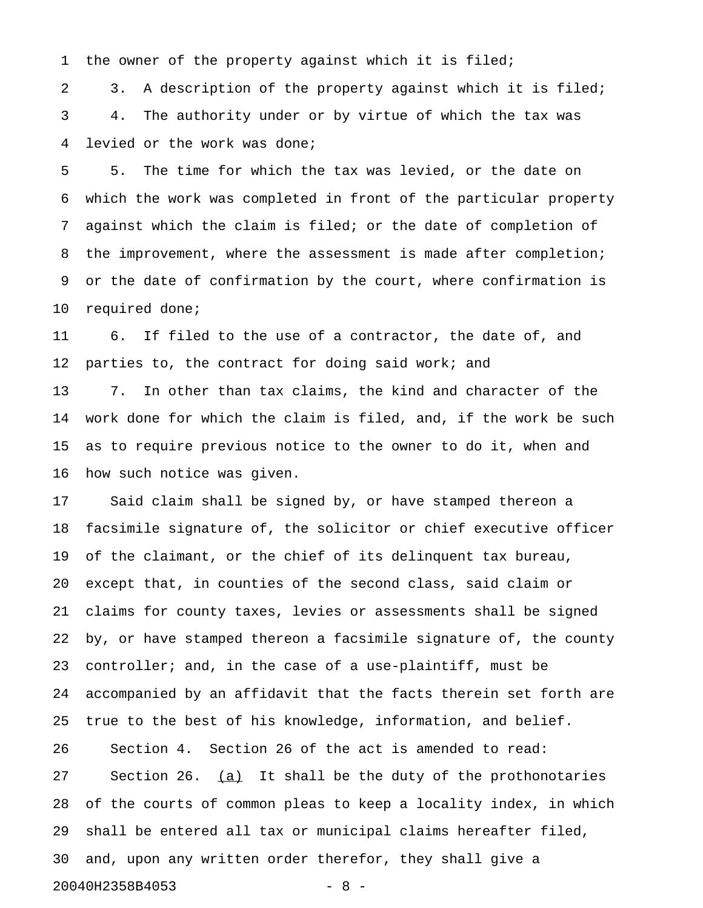1 the owner of the property against which it is filed;

2 3. A description of the property against which it is filed; 3 4. The authority under or by virtue of which the tax was 4 levied or the work was done;

5 5. The time for which the tax was levied, or the date on 6 which the work was completed in front of the particular property 7 against which the claim is filed; or the date of completion of 8 the improvement, where the assessment is made after completion; 9 or the date of confirmation by the court, where confirmation is 10 required done;

11 6. If filed to the use of a contractor, the date of, and 12 parties to, the contract for doing said work; and 13 7. In other than tax claims, the kind and character of the 14 work done for which the claim is filed, and, if the work be such 15 as to require previous notice to the owner to do it, when and 16 how such notice was given.

17 Said claim shall be signed by, or have stamped thereon a 18 facsimile signature of, the solicitor or chief executive officer 19 of the claimant, or the chief of its delinquent tax bureau, 20 except that, in counties of the second class, said claim or 21 claims for county taxes, levies or assessments shall be signed 22 by, or have stamped thereon a facsimile signature of, the county 23 controller; and, in the case of a use-plaintiff, must be 24 accompanied by an affidavit that the facts therein set forth are 25 true to the best of his knowledge, information, and belief. 26 Section 4. Section 26 of the act is amended to read: 27 Section 26.  $(a)$  It shall be the duty of the prothonotaries 28 of the courts of common pleas to keep a locality index, in which 29 shall be entered all tax or municipal claims hereafter filed, 30 and, upon any written order therefor, they shall give a 20040H2358B4053 - 8 -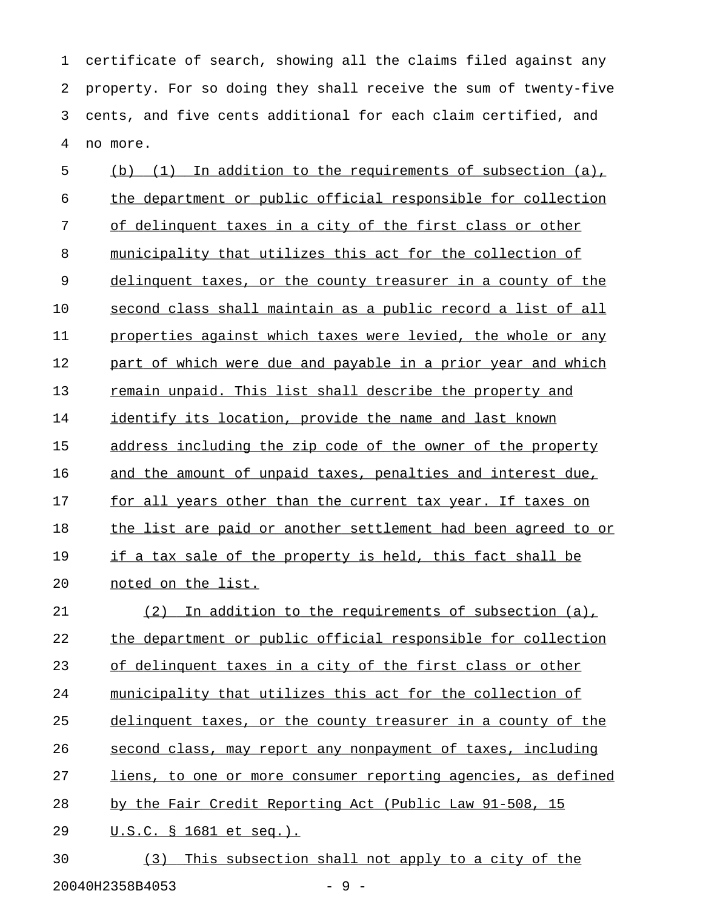1 certificate of search, showing all the claims filed against any 2 property. For so doing they shall receive the sum of twenty-five 3 cents, and five cents additional for each claim certified, and 4 no more.

5 (b) (1) In addition to the requirements of subsection (a), 6 the department or public official responsible for collection 7 of delinquent taxes in a city of the first class or other 8 municipality that utilizes this act for the collection of 9 delinquent taxes, or the county treasurer in a county of the 10 second class shall maintain as a public record a list of all 11 properties against which taxes were levied, the whole or any 12 part of which were due and payable in a prior year and which 13 remain unpaid. This list shall describe the property and 14 identify its location, provide the name and last known 15 address including the zip code of the owner of the property 16 and the amount of unpaid taxes, penalties and interest due, 17 for all years other than the current tax year. If taxes on 18 the list are paid or another settlement had been agreed to or 19 if a tax sale of the property is held, this fact shall be 20 noted on the list. 21 (2) In addition to the requirements of subsection (a), 22 the department or public official responsible for collection 23 of delinquent taxes in a city of the first class or other 24 municipality that utilizes this act for the collection of 25 delinquent taxes, or the county treasurer in a county of the 26 second class, may report any nonpayment of taxes, including 27 liens, to one or more consumer reporting agencies, as defined 28 by the Fair Credit Reporting Act (Public Law 91-508, 15 29 U.S.C. § 1681 et seq.).

30 (3) This subsection shall not apply to a city of the 20040H2358B4053 - 9 -